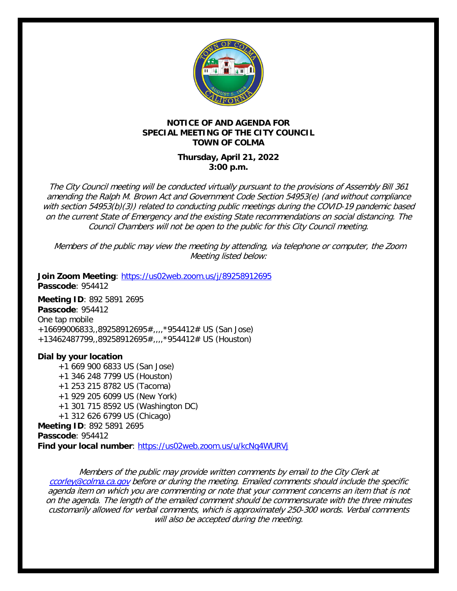

## **NOTICE OF AND AGENDA FOR SPECIAL MEETING OF THE CITY COUNCIL TOWN OF COLMA**

## **Thursday, April 21, 2022 3:00 p.m.**

The City Council meeting will be conducted virtually pursuant to the provisions of Assembly Bill 361 amending the Ralph M. Brown Act and Government Code Section 54953(e) (and without compliance with section 54953(b)(3)) related to conducting public meetings during the COVID-19 pandemic based on the current State of Emergency and the existing State recommendations on social distancing. The Council Chambers will not be open to the public for this City Council meeting.

Members of the public may view the meeting by attending, via telephone or computer, the Zoom Meeting listed below:

**Join Zoom Meeting**:<https://us02web.zoom.us/j/89258912695> **Passcode**: 954412

**Meeting ID**: 892 5891 2695 **Passcode**: 954412 One tap mobile +16699006833,,89258912695#,,,,\*954412# US (San Jose) +13462487799,,89258912695#,,,,\*954412# US (Houston)

**Dial by your location** +1 669 900 6833 US (San Jose) +1 346 248 7799 US (Houston) +1 253 215 8782 US (Tacoma) +1 929 205 6099 US (New York) +1 301 715 8592 US (Washington DC) +1 312 626 6799 US (Chicago) **Meeting ID**: 892 5891 2695 **Passcode**: 954412 **Find your local number**:<https://us02web.zoom.us/u/kcNq4WURVj>

Members of the public may provide written comments by email to the City Clerk at [ccorley@colma.ca.gov](mailto:ccorley@colma.ca.gov) before or during the meeting. Emailed comments should include the specific agenda item on which you are commenting or note that your comment concerns an item that is not on the agenda. The length of the emailed comment should be commensurate with the three minutes customarily allowed for verbal comments, which is approximately 250-300 words. Verbal comments will also be accepted during the meeting.